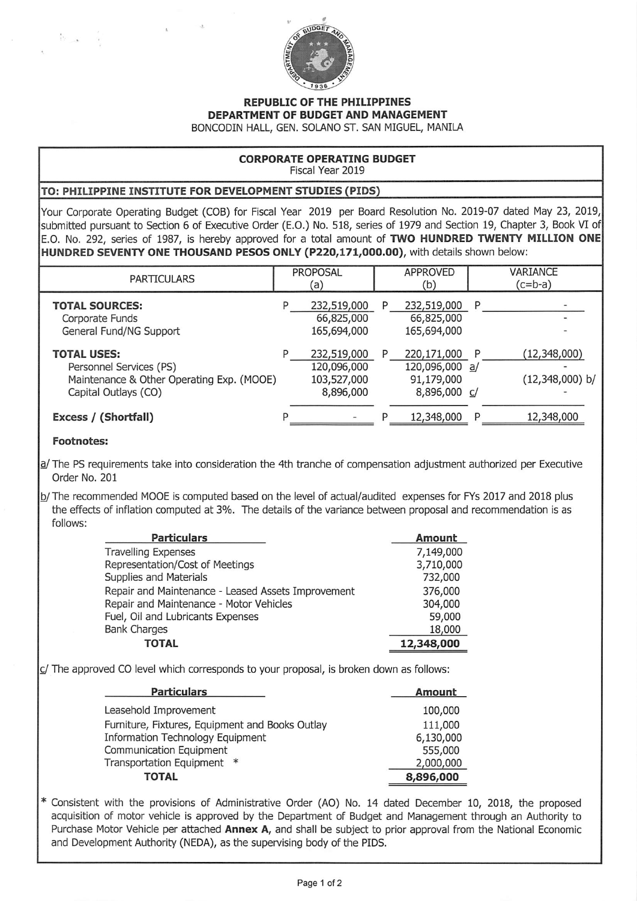

## REPUBLIC OF THE PHILIPPINES DEPARTMENT OF BUDGET AND MANAGEMENT

BONCODIN HALL, GEN. SOLANO ST. SAN MIGUEL, MANILA

## CORPORATE OPERATING BUDGET Fiscal Year 2019

## TO: PHILIPPINE INSTITUTE FOR DEVELOPMENT STUDIES (PIDS)

Your Corporate Operating Budget (COB) for Fiscal Year 2019 per Board Resolution No. 2019-07 dated May 23, 2019, submitted pursuant to Section 6 of Executive Order (E.O.) No. 518, series of 1979 and Section 19, Chapter 3, Book VI of E.O. No. 292, series of 1987, is hereby approved for a total amount of TWO HUNDRED TWENTY MILLION ONE HUNDRED SEVENTY ONE THOUSAND PESOS ONLY (P220,171,000.00), with details shown below:

| <b>PARTICULARS</b>                                                                                                 | <b>PROPOSAL</b><br>(a)                                      | APPROVED<br>(b)                                                  | VARIANCE<br>$(c=b-a)$                    |
|--------------------------------------------------------------------------------------------------------------------|-------------------------------------------------------------|------------------------------------------------------------------|------------------------------------------|
| <b>TOTAL SOURCES:</b><br>Corporate Funds<br>General Fund/NG Support                                                | 232,519,000<br>P<br>66,825,000<br>165,694,000               | 232,519,000<br>P<br>66,825,000<br>165,694,000                    | P                                        |
| <b>TOTAL USES:</b><br>Personnel Services (PS)<br>Maintenance & Other Operating Exp. (MOOE)<br>Capital Outlays (CO) | 232,519,000<br>P<br>120,096,000<br>103,527,000<br>8,896,000 | 220,171,000<br>P<br>120,096,000 a/<br>91,179,000<br>8,896,000 c/ | (12, 348, 000)<br>P<br>$(12,348,000)$ b/ |
| Excess / (Shortfall)                                                                                               |                                                             | 12,348,000                                                       | 12,348,000<br>P                          |

## Footnotes:

 $\Omega_{\rm max}$  .

a/The PS requirements take into consideration the 4th tranche of compensation adjustment authorized per Executive Order No. 201

^The recommended MOOE is computed based on the level of actual/audited expenses for FYs 2017 and 2018 plus the effects of inflation computed at 3%. The details of the variance between proposal and recommendation is as follows:

| <b>Particulars</b>                                 | Amount     |
|----------------------------------------------------|------------|
| <b>Travelling Expenses</b>                         | 7,149,000  |
| Representation/Cost of Meetings                    | 3,710,000  |
| Supplies and Materials                             | 732,000    |
| Repair and Maintenance - Leased Assets Improvement | 376,000    |
| Repair and Maintenance - Motor Vehicles            | 304,000    |
| Fuel, Oil and Lubricants Expenses                  | 59,000     |
| <b>Bank Charges</b>                                | 18,000     |
| TOTAL                                              | 12,348,000 |

 $c/$  The approved CO level which corresponds to your proposal, is broken down as follows:

| <b>Particulars</b>                              | Amount    |
|-------------------------------------------------|-----------|
| Leasehold Improvement                           | 100,000   |
| Furniture, Fixtures, Equipment and Books Outlay | 111,000   |
| Information Technology Equipment                | 6,130,000 |
| Communication Equipment                         | 555,000   |
| Transportation Equipment *                      | 2,000,000 |
| TOTAL                                           | 8,896,000 |

Consistent with the provisions of Administrative Order (AO) No. 14 dated December 10, 2018, the proposed acquisition of motor vehicle is approved by the Department of Budget and Management through an Authority to Purchase Motor Vehicle per attached Annex A, and shall be subject to prior approval from the National Economic and Development Authority (NEDA), as the supervising body of the PIDS.